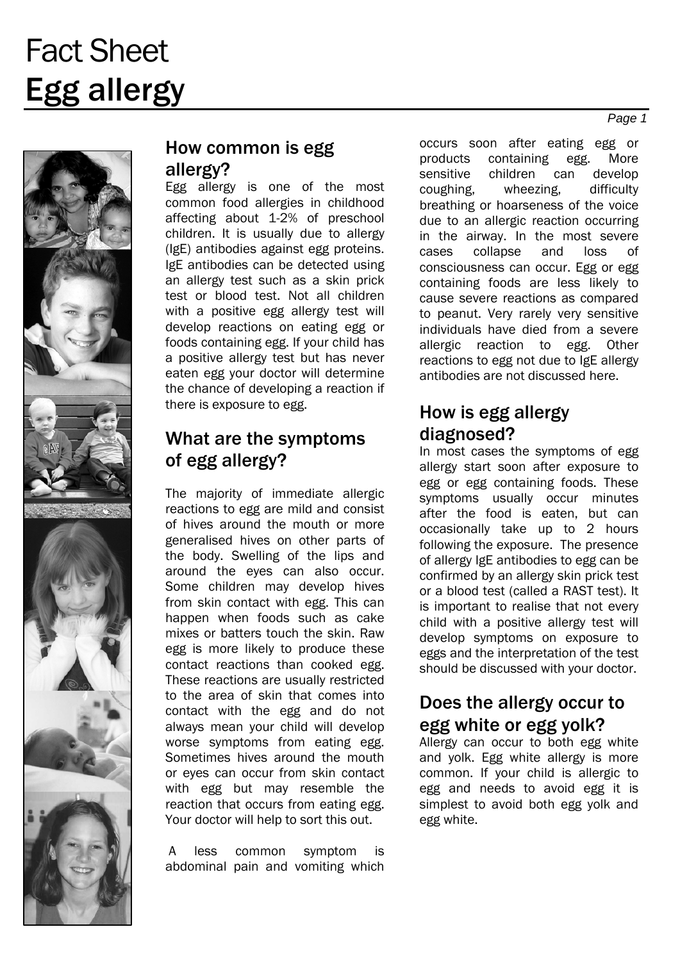

#### How common is egg allergy?

Egg allergy is one of the most common food allergies in childhood affecting about 1-2% of preschool children. It is usually due to allergy (IgE) antibodies against egg proteins. IgE antibodies can be detected using an allergy test such as a skin prick test or blood test. Not all children with a positive egg allergy test will develop reactions on eating egg or foods containing egg. If your child has a positive allergy test but has never eaten egg your doctor will determine the chance of developing a reaction if there is exposure to egg.

## What are the symptoms of egg allergy?

The majority of immediate allergic reactions to egg are mild and consist of hives around the mouth or more generalised hives on other parts of the body. Swelling of the lips and around the eyes can also occur. Some children may develop hives from skin contact with egg. This can happen when foods such as cake mixes or batters touch the skin. Raw egg is more likely to produce these contact reactions than cooked egg. These reactions are usually restricted to the area of skin that comes into contact with the egg and do not always mean your child will develop worse symptoms from eating egg. Sometimes hives around the mouth or eyes can occur from skin contact with egg but may resemble the reaction that occurs from eating egg. Your doctor will help to sort this out.

 A less common symptom is abdominal pain and vomiting which occurs soon after eating egg or products containing egg. More sensitive children can develop coughing, wheezing, difficulty breathing or hoarseness of the voice due to an allergic reaction occurring in the airway. In the most severe cases collapse and loss of consciousness can occur. Egg or egg containing foods are less likely to cause severe reactions as compared to peanut. Very rarely very sensitive individuals have died from a severe allergic reaction to egg. Other reactions to egg not due to IgE allergy antibodies are not discussed here.

## How is egg allergy diagnosed?

In most cases the symptoms of egg allergy start soon after exposure to egg or egg containing foods. These symptoms usually occur minutes after the food is eaten, but can occasionally take up to 2 hours following the exposure. The presence of allergy IgE antibodies to egg can be confirmed by an allergy skin prick test or a blood test (called a RAST test). It is important to realise that not every child with a positive allergy test will develop symptoms on exposure to eggs and the interpretation of the test should be discussed with your doctor.

#### Does the allergy occur to egg white or egg yolk?

Allergy can occur to both egg white and yolk. Egg white allergy is more common. If your child is allergic to egg and needs to avoid egg it is simplest to avoid both egg yolk and egg white.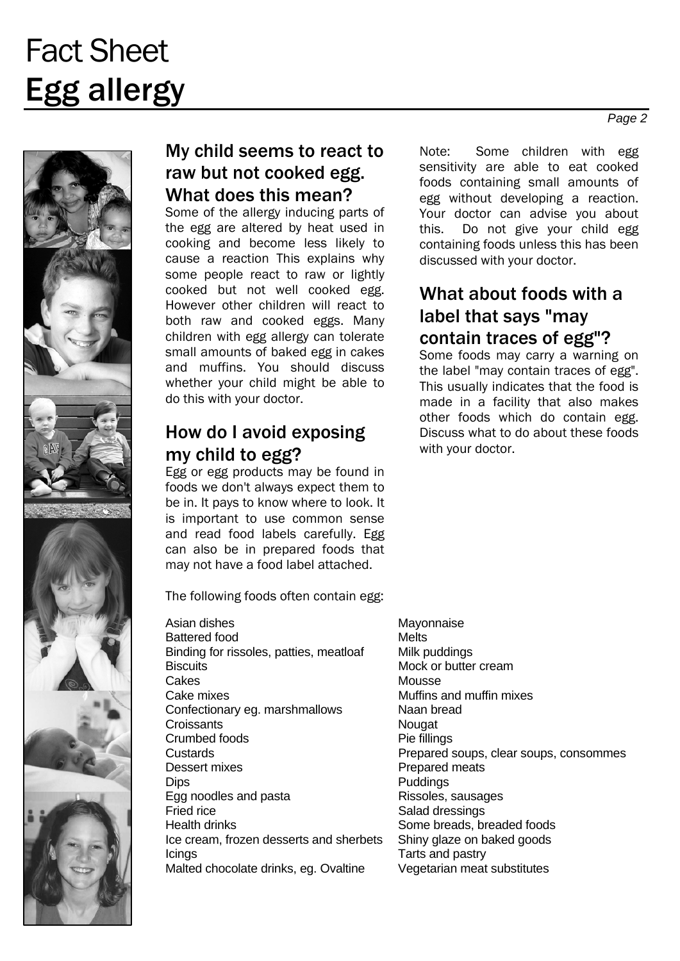

## My child seems to react to raw but not cooked egg. What does this mean?

Some of the allergy inducing parts of the egg are altered by heat used in cooking and become less likely to cause a reaction This explains why some people react to raw or lightly cooked but not well cooked egg. However other children will react to both raw and cooked eggs. Many children with egg allergy can tolerate small amounts of baked egg in cakes and muffins. You should discuss whether your child might be able to do this with your doctor.

#### How do I avoid exposing my child to egg?

Egg or egg products may be found in foods we don't always expect them to be in. It pays to know where to look. It is important to use common sense and read food labels carefully. Egg can also be in prepared foods that may not have a food label attached.

The following foods often contain egg:

Asian dishes Mayonnaise Battered food Melts Binding for rissoles, patties, meatloaf Milk puddings Biscuits Mock or butter cream<br>Cakes Mousse Cake mixes Muffins and muffin mixes Confectionary eg. marshmallows Naan bread Croissants Nougat Crumbed foods Pie fillings Dessert mixes **Prepared meats** Dips **Puddings** Egg noodles and pasta Rissoles, sausages Fried rice Salad dressings Health drinks **Some breads**, breaded foods Ice cream, frozen desserts and sherbets Shiny glaze on baked goods **Icings** Tarts and pastry Malted chocolate drinks, eg. Ovaltine Vegetarian meat substitutes

Note: Some children with egg sensitivity are able to eat cooked foods containing small amounts of egg without developing a reaction. Your doctor can advise you about this. Do not give your child egg containing foods unless this has been discussed with your doctor.

## What about foods with a label that says "may contain traces of egg"?

Some foods may carry a warning on the label "may contain traces of egg". This usually indicates that the food is made in a facility that also makes other foods which do contain egg. Discuss what to do about these foods with your doctor.

Mousse Custards Prepared soups, clear soups, consommes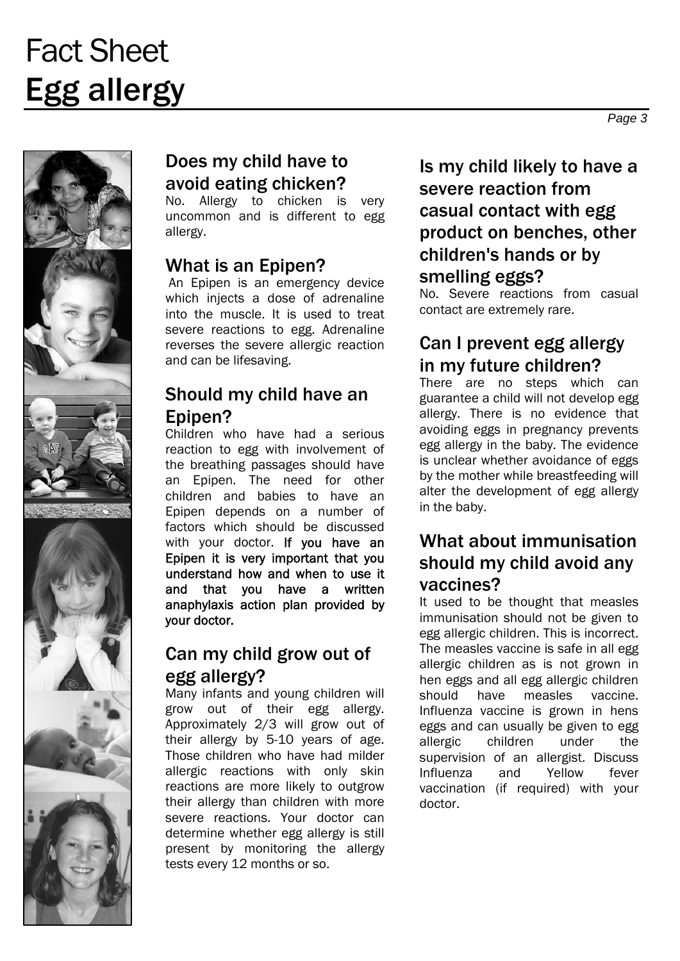

## Does my child have to avoid eating chicken?

No. Allergy to chicken is very uncommon and is different to egg allergy.

## What is an Epipen?

 An Epipen is an emergency device which injects a dose of adrenaline into the muscle. It is used to treat severe reactions to egg. Adrenaline reverses the severe allergic reaction and can be lifesaving.

#### Should my child have an Epipen?

Children who have had a serious reaction to egg with involvement of the breathing passages should have an Epipen. The need for other children and babies to have an Epipen depends on a number of factors which should be discussed with your doctor. If you have an Epipen it is very important that you understand how and when to use it and that you have a written anaphylaxis action plan provided by your doctor.

## Can my child grow out of egg allergy?

Many infants and young children will grow out of their egg allergy. Approximately 2/3 will grow out of their allergy by 5-10 years of age. Those children who have had milder allergic reactions with only skin reactions are more likely to outgrow their allergy than children with more severe reactions. Your doctor can determine whether egg allergy is still present by monitoring the allergy tests every 12 months or so.

## Is my child likely to have a severe reaction from casual contact with egg product on benches, other children's hands or by smelling eggs?

No. Severe reactions from casual contact are extremely rare.

### Can I prevent egg allergy in my future children?

There are no steps which can guarantee a child will not develop egg allergy. There is no evidence that avoiding eggs in pregnancy prevents egg allergy in the baby. The evidence is unclear whether avoidance of eggs by the mother while breastfeeding will alter the development of egg allergy in the baby.

## What about immunisation should my child avoid any vaccines?

It used to be thought that measles immunisation should not be given to egg allergic children. This is incorrect. The measles vaccine is safe in all egg allergic children as is not grown in hen eggs and all egg allergic children should have measles vaccine. Influenza vaccine is grown in hens eggs and can usually be given to egg allergic children under the supervision of an allergist. Discuss Influenza and Yellow fever vaccination (if required) with your doctor.